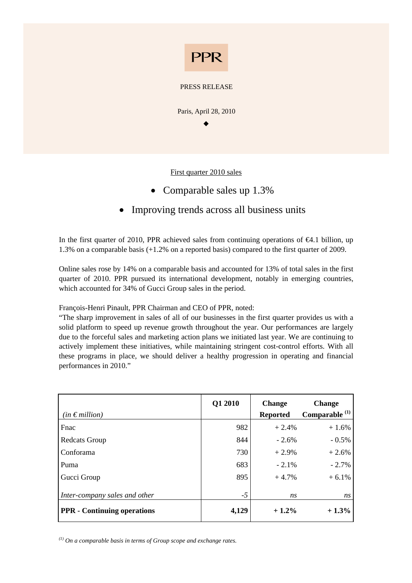

#### PRESS RELEASE

Paris, April 28, 2010

 $\bullet$ 

First quarter 2010 sales

- Comparable sales up 1.3%
- Improving trends across all business units

In the first quarter of 2010, PPR achieved sales from continuing operations of  $\epsilon 4.1$  billion, up 1.3% on a comparable basis (+1.2% on a reported basis) compared to the first quarter of 2009.

Online sales rose by 14% on a comparable basis and accounted for 13% of total sales in the first quarter of 2010. PPR pursued its international development, notably in emerging countries, which accounted for 34% of Gucci Group sales in the period.

François-Henri Pinault, PPR Chairman and CEO of PPR, noted:

"The sharp improvement in sales of all of our businesses in the first quarter provides us with a solid platform to speed up revenue growth throughout the year. Our performances are largely due to the forceful sales and marketing action plans we initiated last year. We are continuing to actively implement these initiatives, while maintaining stringent cost-control efforts. With all these programs in place, we should deliver a healthy progression in operating and financial performances in 2010."

| (in $\epsilon$ million)            | Q1 2010 | <b>Change</b><br><b>Reported</b> | <b>Change</b><br>Comparable <sup>(1)</sup> |
|------------------------------------|---------|----------------------------------|--------------------------------------------|
| Fnac                               | 982     | $+2.4%$                          | $+1.6%$                                    |
| <b>Redcats Group</b>               | 844     | $-2.6%$                          | $-0.5\%$                                   |
| Conforama                          | 730     | $+2.9%$                          | $+2.6%$                                    |
| Puma                               | 683     | $-2.1\%$                         | $-2.7%$                                    |
| Gucci Group                        | 895     | $+4.7%$                          | $+6.1\%$                                   |
| Inter-company sales and other      | $-5$    | ns                               | ns                                         |
| <b>PPR</b> - Continuing operations | 4,129   | $+1.2%$                          | $+1.3\%$                                   |

*(1) On a comparable basis in terms of Group scope and exchange rates.*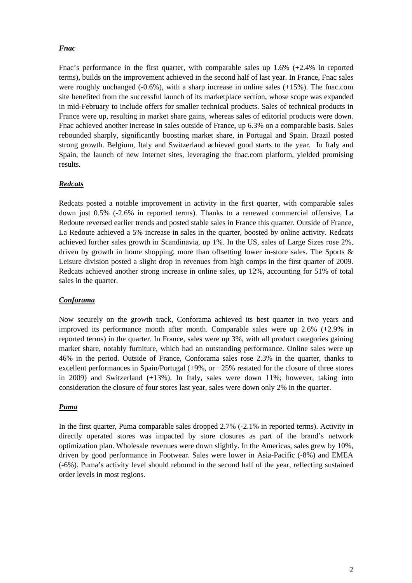## *Fnac*

Fnac's performance in the first quarter, with comparable sales up  $1.6\%$  (+2.4% in reported terms), builds on the improvement achieved in the second half of last year. In France, Fnac sales were roughly unchanged (-0.6%), with a sharp increase in online sales (+15%). The fnac.com site benefited from the successful launch of its marketplace section, whose scope was expanded in mid-February to include offers for smaller technical products. Sales of technical products in France were up, resulting in market share gains, whereas sales of editorial products were down. Fnac achieved another increase in sales outside of France, up 6.3% on a comparable basis. Sales rebounded sharply, significantly boosting market share, in Portugal and Spain. Brazil posted strong growth. Belgium, Italy and Switzerland achieved good starts to the year. In Italy and Spain, the launch of new Internet sites, leveraging the fnac.com platform, yielded promising results.

## *Redcats*

Redcats posted a notable improvement in activity in the first quarter, with comparable sales down just 0.5% (-2.6% in reported terms). Thanks to a renewed commercial offensive, La Redoute reversed earlier trends and posted stable sales in France this quarter. Outside of France, La Redoute achieved a 5% increase in sales in the quarter, boosted by online activity. Redcats achieved further sales growth in Scandinavia, up 1%. In the US, sales of Large Sizes rose 2%, driven by growth in home shopping, more than offsetting lower in-store sales. The Sports  $\&$ Leisure division posted a slight drop in revenues from high comps in the first quarter of 2009. Redcats achieved another strong increase in online sales, up 12%, accounting for 51% of total sales in the quarter.

#### *Conforama*

Now securely on the growth track, Conforama achieved its best quarter in two years and improved its performance month after month. Comparable sales were up 2.6% (+2.9% in reported terms) in the quarter. In France, sales were up 3%, with all product categories gaining market share, notably furniture, which had an outstanding performance. Online sales were up 46% in the period. Outside of France, Conforama sales rose 2.3% in the quarter, thanks to excellent performances in Spain/Portugal  $(+9\%$ , or  $+25\%$  restated for the closure of three stores in 2009) and Switzerland (+13%). In Italy, sales were down 11%; however, taking into consideration the closure of four stores last year, sales were down only 2% in the quarter.

#### *Puma*

In the first quarter, Puma comparable sales dropped 2.7% (-2.1% in reported terms). Activity in directly operated stores was impacted by store closures as part of the brand's network optimization plan. Wholesale revenues were down slightly. In the Americas, sales grew by 10%, driven by good performance in Footwear. Sales were lower in Asia-Pacific (-8%) and EMEA (-6%). Puma's activity level should rebound in the second half of the year, reflecting sustained order levels in most regions.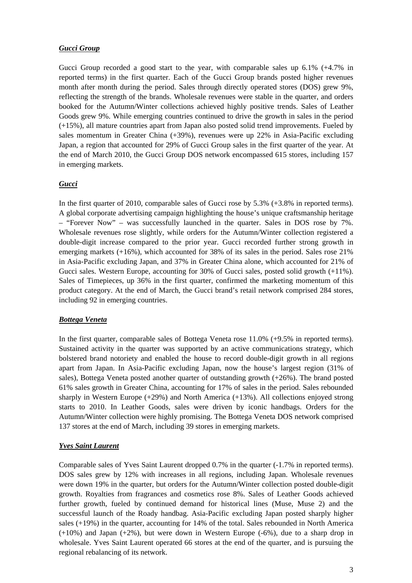#### *Gucci Group*

Gucci Group recorded a good start to the year, with comparable sales up  $6.1\%$  (+4.7% in reported terms) in the first quarter. Each of the Gucci Group brands posted higher revenues month after month during the period. Sales through directly operated stores (DOS) grew 9%, reflecting the strength of the brands. Wholesale revenues were stable in the quarter, and orders booked for the Autumn/Winter collections achieved highly positive trends. Sales of Leather Goods grew 9%. While emerging countries continued to drive the growth in sales in the period (+15%), all mature countries apart from Japan also posted solid trend improvements. Fueled by sales momentum in Greater China (+39%), revenues were up 22% in Asia-Pacific excluding Japan, a region that accounted for 29% of Gucci Group sales in the first quarter of the year. At the end of March 2010, the Gucci Group DOS network encompassed 615 stores, including 157 in emerging markets.

## *Gucci*

In the first quarter of 2010, comparable sales of Gucci rose by 5.3% (+3.8% in reported terms). A global corporate advertising campaign highlighting the house's unique craftsmanship heritage – "Forever Now" – was successfully launched in the quarter. Sales in DOS rose by 7%. Wholesale revenues rose slightly, while orders for the Autumn/Winter collection registered a double-digit increase compared to the prior year. Gucci recorded further strong growth in emerging markets (+16%), which accounted for 38% of its sales in the period. Sales rose 21% in Asia-Pacific excluding Japan, and 37% in Greater China alone, which accounted for 21% of Gucci sales. Western Europe, accounting for 30% of Gucci sales, posted solid growth (+11%). Sales of Timepieces, up 36% in the first quarter, confirmed the marketing momentum of this product category. At the end of March, the Gucci brand's retail network comprised 284 stores, including 92 in emerging countries.

#### *Bottega Veneta*

In the first quarter, comparable sales of Bottega Veneta rose 11.0% (+9.5% in reported terms). Sustained activity in the quarter was supported by an active communications strategy, which bolstered brand notoriety and enabled the house to record double-digit growth in all regions apart from Japan. In Asia-Pacific excluding Japan, now the house's largest region (31% of sales), Bottega Veneta posted another quarter of outstanding growth (+26%). The brand posted 61% sales growth in Greater China, accounting for 17% of sales in the period. Sales rebounded sharply in Western Europe (+29%) and North America (+13%). All collections enjoyed strong starts to 2010. In Leather Goods, sales were driven by iconic handbags. Orders for the Autumn/Winter collection were highly promising. The Bottega Veneta DOS network comprised 137 stores at the end of March, including 39 stores in emerging markets.

## *Yves Saint Laurent*

Comparable sales of Yves Saint Laurent dropped 0.7% in the quarter (-1.7% in reported terms). DOS sales grew by 12% with increases in all regions, including Japan. Wholesale revenues were down 19% in the quarter, but orders for the Autumn/Winter collection posted double-digit growth. Royalties from fragrances and cosmetics rose 8%. Sales of Leather Goods achieved further growth, fueled by continued demand for historical lines (Muse, Muse 2) and the successful launch of the Roady handbag. Asia-Pacific excluding Japan posted sharply higher sales (+19%) in the quarter, accounting for 14% of the total. Sales rebounded in North America  $(+10%)$  and Japan  $(+2%)$ , but were down in Western Europe  $(-6%)$ , due to a sharp drop in wholesale. Yves Saint Laurent operated 66 stores at the end of the quarter, and is pursuing the regional rebalancing of its network.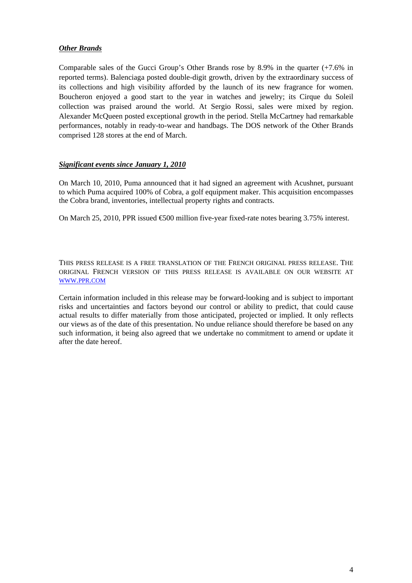## *Other Brands*

Comparable sales of the Gucci Group's Other Brands rose by 8.9% in the quarter (+7.6% in reported terms). Balenciaga posted double-digit growth, driven by the extraordinary success of its collections and high visibility afforded by the launch of its new fragrance for women. Boucheron enjoyed a good start to the year in watches and jewelry; its Cirque du Soleil collection was praised around the world. At Sergio Rossi, sales were mixed by region. Alexander McQueen posted exceptional growth in the period. Stella McCartney had remarkable performances, notably in ready-to-wear and handbags. The DOS network of the Other Brands comprised 128 stores at the end of March.

## *Significant events since January 1, 2010*

On March 10, 2010, Puma announced that it had signed an agreement with Acushnet, pursuant to which Puma acquired 100% of Cobra, a golf equipment maker. This acquisition encompasses the Cobra brand, inventories, intellectual property rights and contracts.

On March 25, 2010, PPR issued  $\bigoplus$ 00 million five-year fixed-rate notes bearing 3.75% interest.

THIS PRESS RELEASE IS A FREE TRANSLATION OF THE FRENCH ORIGINAL PRESS RELEASE. THE ORIGINAL FRENCH VERSION OF THIS PRESS RELEASE IS AVAILABLE ON OUR WEBSITE AT WWW.PPR.COM

Certain information included in this release may be forward-looking and is subject to important risks and uncertainties and factors beyond our control or ability to predict, that could cause actual results to differ materially from those anticipated, projected or implied. It only reflects our views as of the date of this presentation. No undue reliance should therefore be based on any such information, it being also agreed that we undertake no commitment to amend or update it after the date hereof.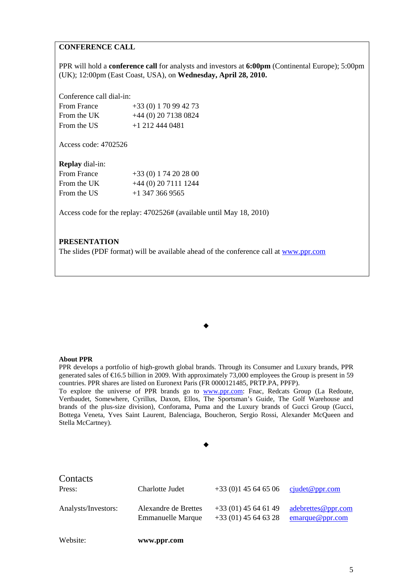## **CONFERENCE CALL**

PPR will hold a **conference call** for analysts and investors at **6:00pm** (Continental Europe); 5:00pm (UK); 12:00pm (East Coast, USA), on **Wednesday, April 28, 2010.**

Conference call dial-in:

| From France | $+33(0)170994273$      |
|-------------|------------------------|
| From the UK | $+44$ (0) 20 7138 0824 |
| From the US | $+1$ 212 444 0481      |

Access code: 4702526

**Replay** dial-in:

| $+33(0)$ 1 74 20 28 00 |
|------------------------|
| $+44(0)$ 20 7111 1244  |
| $+1$ 347 366 9565      |
|                        |

Access code for the replay: 4702526# (available until May 18, 2010)

#### **PRESENTATION**

The slides (PDF format) will be available ahead of the conference call at www.ppr.com

#### **About PPR**

PPR develops a portfolio of high-growth global brands. Through its Consumer and Luxury brands, PPR generated sales of  $\epsilon$ 16.5 billion in 2009. With approximately 73,000 employees the Group is present in 59 countries. PPR shares are listed on Euronext Paris (FR 0000121485, PRTP.PA, PPFP).

 $\bullet$ 

To explore the universe of PPR brands go to www.ppr.com: Fnac, Redcats Group (La Redoute, Vertbaudet, Somewhere, Cyrillus, Daxon, Ellos, The Sportsman's Guide, The Golf Warehouse and brands of the plus-size division), Conforama, Puma and the Luxury brands of Gucci Group (Gucci, Bottega Veneta, Yves Saint Laurent, Balenciaga, Boucheron, Sergio Rossi, Alexander McQueen and Stella McCartney).

| Contacts<br>Press:  | Charlotte Judet                                  | $+33(0)145646506$                              | cjudet@ppr.com                        |
|---------------------|--------------------------------------------------|------------------------------------------------|---------------------------------------|
| Analysts/Investors: | Alexandre de Brettes<br><b>Emmanuelle Marque</b> | $+33(01)$ 45 64 61 49<br>$+33(01)$ 45 64 63 28 | adebrettes@ppr.com<br>emarque@ppr.com |
| Website:            | www.ppr.com                                      |                                                |                                       |